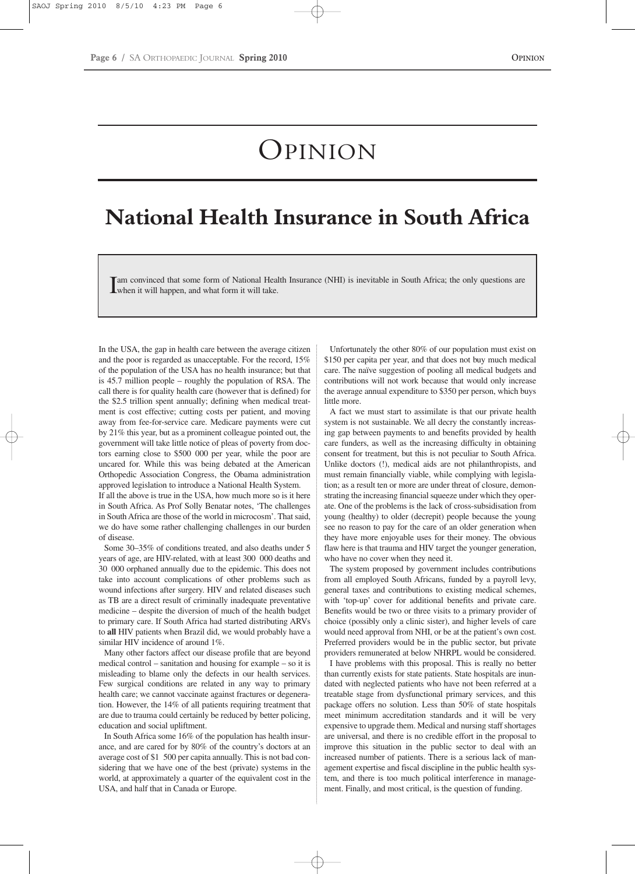## OPINION

## **National Health Insurance in South Africa**

Im convinced that some form of National Heal<br>when it will happen, and what form it will take. am convinced that some form of National Health Insurance (NHI) is inevitable in South Africa; the only questions are

In the USA, the gap in health care between the average citizen and the poor is regarded as unacceptable. For the record, 15% of the population of the USA has no health insurance; but that is 45.7 million people – roughly the population of RSA. The call there is for quality health care (however that is defined) for the \$2.5 trillion spent annually; defining when medical treatment is cost effective; cutting costs per patient, and moving away from fee-for-service care. Medicare payments were cut by 21% this year, but as a prominent colleague pointed out, the government will take little notice of pleas of poverty from doctors earning close to \$500 000 per year, while the poor are uncared for. While this was being debated at the American Orthopedic Association Congress, the Obama administration approved legislation to introduce a National Health System.

If all the above is true in the USA, how much more so is it here in South Africa. As Prof Solly Benatar notes, 'The challenges in South Africa are those of the world in microcosm'. That said, we do have some rather challenging challenges in our burden of disease.

Some 30–35% of conditions treated, and also deaths under 5 years of age, are HIV-related, with at least 300 000 deaths and 30 000 orphaned annually due to the epidemic. This does not take into account complications of other problems such as wound infections after surgery. HIV and related diseases such as TB are a direct result of criminally inadequate preventative medicine – despite the diversion of much of the health budget to primary care. If South Africa had started distributing ARVs to **all** HIV patients when Brazil did, we would probably have a similar HIV incidence of around 1%.

Many other factors affect our disease profile that are beyond medical control – sanitation and housing for example – so it is misleading to blame only the defects in our health services. Few surgical conditions are related in any way to primary health care; we cannot vaccinate against fractures or degeneration. However, the 14% of all patients requiring treatment that are due to trauma could certainly be reduced by better policing, education and social upliftment.

In South Africa some 16% of the population has health insurance, and are cared for by 80% of the country's doctors at an average cost of \$1 500 per capita annually. This is not bad considering that we have one of the best (private) systems in the world, at approximately a quarter of the equivalent cost in the USA, and half that in Canada or Europe.

Unfortunately the other 80% of our population must exist on \$150 per capita per year, and that does not buy much medical care. The naïve suggestion of pooling all medical budgets and contributions will not work because that would only increase the average annual expenditure to \$350 per person, which buys little more.

A fact we must start to assimilate is that our private health system is not sustainable. We all decry the constantly increasing gap between payments to and benefits provided by health care funders, as well as the increasing difficulty in obtaining consent for treatment, but this is not peculiar to South Africa. Unlike doctors (!), medical aids are not philanthropists, and must remain financially viable, while complying with legislation; as a result ten or more are under threat of closure, demonstrating the increasing financial squeeze under which they operate. One of the problems is the lack of cross-subsidisation from young (healthy) to older (decrepit) people because the young see no reason to pay for the care of an older generation when they have more enjoyable uses for their money. The obvious flaw here is that trauma and HIV target the younger generation, who have no cover when they need it.

The system proposed by government includes contributions from all employed South Africans, funded by a payroll levy, general taxes and contributions to existing medical schemes, with 'top-up' cover for additional benefits and private care. Benefits would be two or three visits to a primary provider of choice (possibly only a clinic sister), and higher levels of care would need approval from NHI, or be at the patient's own cost. Preferred providers would be in the public sector, but private providers remunerated at below NHRPL would be considered.

I have problems with this proposal. This is really no better than currently exists for state patients. State hospitals are inundated with neglected patients who have not been referred at a treatable stage from dysfunctional primary services, and this package offers no solution. Less than 50% of state hospitals meet minimum accreditation standards and it will be very expensive to upgrade them. Medical and nursing staff shortages are universal, and there is no credible effort in the proposal to improve this situation in the public sector to deal with an increased number of patients. There is a serious lack of management expertise and fiscal discipline in the public health system, and there is too much political interference in management. Finally, and most critical, is the question of funding.